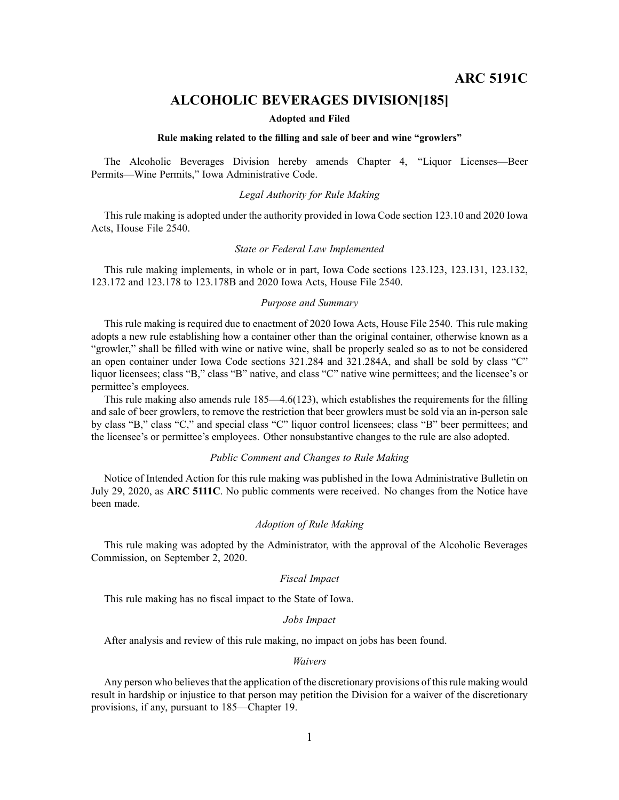## **ALCOHOLIC BEVERAGES DIVISION[185]**

#### **Adopted and Filed**

#### **Rule making related to the filling and sale of beer and wine "growlers"**

The Alcoholic Beverages Division hereby amends Chapter 4, "Liquor Licenses—Beer Permits—Wine Permits," Iowa Administrative Code.

### *Legal Authority for Rule Making*

This rule making is adopted under the authority provided in Iowa Code section 123.10 and 2020 Iowa Acts, House File 2540.

#### *State or Federal Law Implemented*

This rule making implements, in whole or in part, Iowa Code sections 123.123, 123.131, 123.132, 123.172 and 123.178 to 123.178B and 2020 Iowa Acts, House File 2540.

#### *Purpose and Summary*

This rule making is required due to enactment of 2020 Iowa Acts, House File 2540. This rule making adopts <sup>a</sup> new rule establishing how <sup>a</sup> container other than the original container, otherwise known as <sup>a</sup> "growler," shall be filled with wine or native wine, shall be properly sealed so as to not be considered an open container under Iowa Code sections 321.284 and 321.284A, and shall be sold by class "C" liquor licensees; class "B," class "B" native, and class "C" native wine permittees; and the licensee's or permittee's employees.

This rule making also amends rule 185—4.6(123), which establishes the requirements for the filling and sale of beer growlers, to remove the restriction that beer growlers must be sold via an in-person sale by class "B," class "C," and special class "C" liquor control licensees; class "B" beer permittees; and the licensee's or permittee's employees. Other nonsubstantive changes to the rule are also adopted.

#### *Public Comment and Changes to Rule Making*

Notice of Intended Action for this rule making was published in the Iowa Administrative Bulletin on July 29, 2020, as **ARC 5111C**. No public comments were received. No changes from the Notice have been made.

#### *Adoption of Rule Making*

This rule making was adopted by the Administrator, with the approval of the Alcoholic Beverages Commission, on September 2, 2020.

#### *Fiscal Impact*

This rule making has no fiscal impact to the State of Iowa.

#### *Jobs Impact*

After analysis and review of this rule making, no impact on jobs has been found.

#### *Waivers*

Any person who believes that the application of the discretionary provisions of this rule making would result in hardship or injustice to that person may petition the Division for <sup>a</sup> waiver of the discretionary provisions, if any, pursuan<sup>t</sup> to 185—Chapter 19.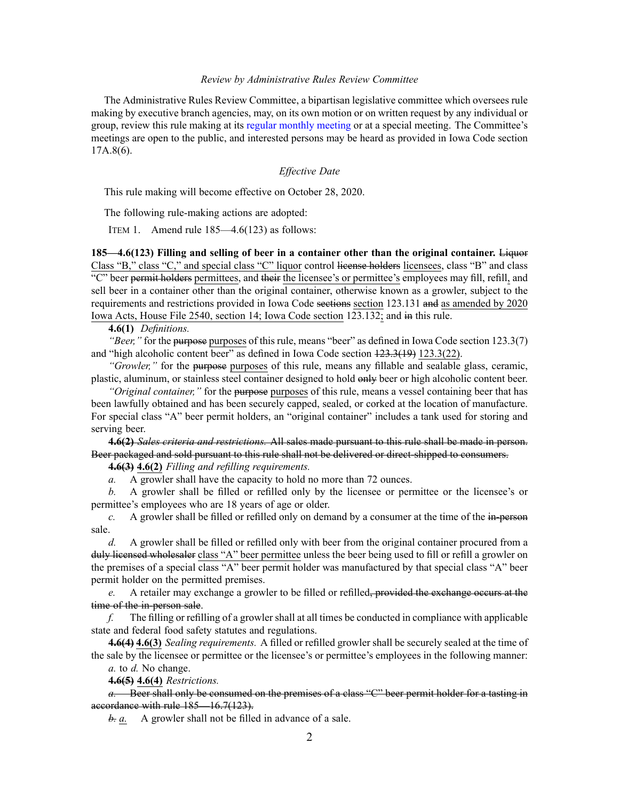#### *Review by Administrative Rules Review Committee*

The Administrative Rules Review Committee, <sup>a</sup> bipartisan legislative committee which oversees rule making by executive branch agencies, may, on its own motion or on written reques<sup>t</sup> by any individual or group, review this rule making at its regular [monthly](https://www.legis.iowa.gov/committees/meetings/meetingsListComm?groupID=705&ga=88) meeting or at <sup>a</sup> special meeting. The Committee's meetings are open to the public, and interested persons may be heard as provided in Iowa Code section 17A.8(6).

## *Effective Date*

This rule making will become effective on October 28, 2020.

The following rule-making actions are adopted:

ITEM 1. Amend rule 185—4.6(123) as follows:

**185—4.6(123) Filling and selling of beer in <sup>a</sup> container other than the original container.** Liquor Class "B," class "C," and special class "C" liquor control license holders licensees, class "B" and class "C" beer permit holders permittees, and their the licensee's or permittee's employees may fill, refill, and sell beer in <sup>a</sup> container other than the original container, otherwise known as <sup>a</sup> growler, subject to the requirements and restrictions provided in Iowa Code sections section [123.131](https://www.legis.iowa.gov/docs/ico/section/2018/123.131.pdf) and as amended by 2020 Iowa Acts, House File 2540, section 14; Iowa Code section [123.132](https://www.legis.iowa.gov/docs/ico/section/123.132.pdf); and in this rule.

**4.6(1)** *Definitions.*

*"Beer,"* for the purposes purposes of this rule, means "beer" as defined in Iowa Code section [123.3\(7\)](https://www.legis.iowa.gov/docs/ico/section/123.3.pdf) and "high alcoholic content beer" as defined in Iowa Code section [123.3\(19\)](https://www.legis.iowa.gov/docs/ico/section/123.3.pdf) [123.3\(22\)](https://www.legis.iowa.gov/docs/ico/section/123.3.pdf).

*"Growler,"* for the purpose purposes of this rule, means any fillable and sealable glass, ceramic, plastic, aluminum, or stainless steel container designed to hold only beer or high alcoholic content beer.

*"Original container,"* for the purpose purposes of this rule, means <sup>a</sup> vessel containing beer that has been lawfully obtained and has been securely capped, sealed, or corked at the location of manufacture. For special class "A" beer permit holders, an "original container" includes <sup>a</sup> tank used for storing and serving beer.

**4.6(2)** *Sales criteria and restrictions.* All sales made pursuan<sup>t</sup> to this rule shall be made in person. Beer packaged and sold pursuan<sup>t</sup> to this rule shall not be delivered or direct-shipped to consumers.

**4.6(3) 4.6(2)** *Filling and refilling requirements.*

*a.* A growler shall have the capacity to hold no more than 72 ounces.

*b.* A growler shall be filled or refilled only by the licensee or permittee or the licensee's or permittee's employees who are 18 years of age or older.

*c.* A growler shall be filled or refilled only on demand by <sup>a</sup> consumer at the time of the in-person sale.

*d.* A growler shall be filled or refilled only with beer from the original container procured from <sup>a</sup> duly licensed wholesaler class "A" beer permittee unless the beer being used to fill or refill <sup>a</sup> growler on the premises of <sup>a</sup> special class "A" beer permit holder was manufactured by that special class "A" beer permit holder on the permitted premises.

*e.* A retailer may exchange <sup>a</sup> growler to be filled or refilled, provided the exchange occurs at the time of the in-person sale.

*f.* The filling or refilling of <sup>a</sup> growler shall at all times be conducted in compliance with applicable state and federal food safety statutes and regulations.

**4.6(4) 4.6(3)** *Sealing requirements.* A filled or refilled growler shall be securely sealed at the time of the sale by the licensee or permittee or the licensee's or permittee's employees in the following manner:

*a.* to *d.* No change.

**4.6(5) 4.6(4)** *Restrictions.*

*a.* Beer shall only be consumed on the premises of <sup>a</sup> class "C" beer permit holder for <sup>a</sup> tasting in accordance with rule [185—16.7\(123\)](https://www.legis.iowa.gov/docs/iac/rule/185.16.7.pdf).

*b. a.* A growler shall not be filled in advance of <sup>a</sup> sale.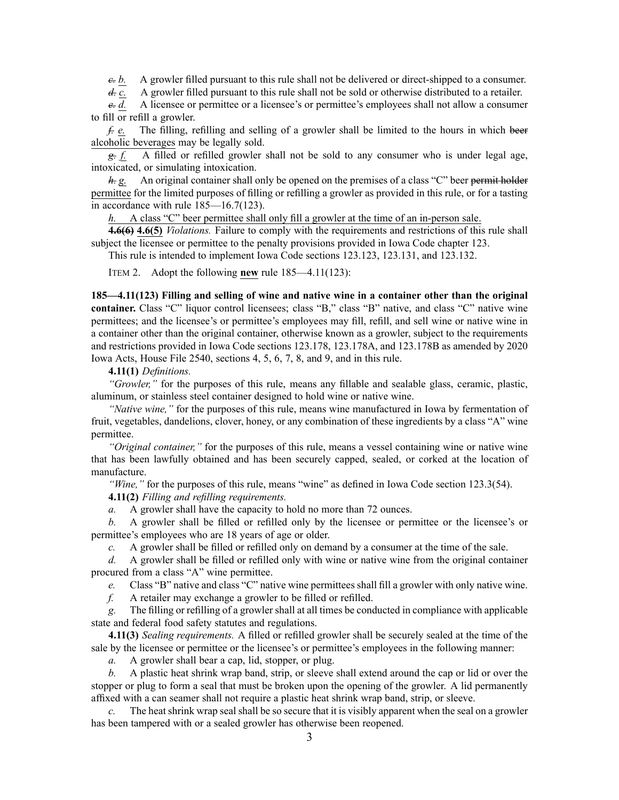*c. b.* A growler filled pursuan<sup>t</sup> to this rule shall not be delivered or direct-shipped to <sup>a</sup> consumer.

*d. c.* A growler filled pursuant to this rule shall not be sold or otherwise distributed to a retailer.

*e. d.* A licensee or permittee or <sup>a</sup> licensee's or permittee's employees shall not allow <sup>a</sup> consumer to fill or refill <sup>a</sup> growler.

*f. e.* The filling, refilling and selling of <sup>a</sup> growler shall be limited to the hours in which beer alcoholic beverages may be legally sold.

*g. f.* A filled or refilled growler shall not be sold to any consumer who is under legal age, intoxicated, or simulating intoxication.

*h. g.* An original container shall only be opened on the premises of <sup>a</sup> class "C" beer permit holder permittee for the limited purposes of filling or refilling <sup>a</sup> growler as provided in this rule, or for <sup>a</sup> tasting in accordance with rule [185—16.7\(123\)](https://www.legis.iowa.gov/docs/iac/rule/185.16.7.pdf).

*h.* A class "C" beer permittee shall only fill <sup>a</sup> growler at the time of an in-person sale.

**4.6(6) 4.6(5)** *Violations.* Failure to comply with the requirements and restrictions of this rule shall subject the licensee or permittee to the penalty provisions provided in Iowa Code chapter [123](https://www.legis.iowa.gov/docs/ico/chapter/123.pdf).

This rule is intended to implement Iowa Code sections [123.123](https://www.legis.iowa.gov/docs/ico/section/2018/123.123.pdf), [123.131](https://www.legis.iowa.gov/docs/ico/section/2018/123.131.pdf), and [123.132](https://www.legis.iowa.gov/docs/ico/section/123.132.pdf).

ITEM 2. Adopt the following **new** rule 185—4.11(123):

**185—4.11(123) Filling and selling of wine and native wine in <sup>a</sup> container other than the original container.** Class "C" liquor control licensees; class "B," class "B" native, and class "C" native wine permittees; and the licensee's or permittee's employees may fill, refill, and sell wine or native wine in <sup>a</sup> container other than the original container, otherwise known as <sup>a</sup> growler, subject to the requirements and restrictions provided in Iowa Code sections [123.178](https://www.legis.iowa.gov/docs/ico/section/123.178.pdf), [123.178A](https://www.legis.iowa.gov/docs/ico/section/123.178A.pdf), and [123.178B](https://www.legis.iowa.gov/docs/ico/section/123.178B.pdf) as amended by 2020 Iowa Acts, House File 2540, sections 4, 5, 6, 7, 8, and 9, and in this rule.

**4.11(1)** *Definitions.*

*"Growler,"* for the purposes of this rule, means any fillable and sealable glass, ceramic, plastic, aluminum, or stainless steel container designed to hold wine or native wine.

*"Native wine,"* for the purposes of this rule, means wine manufactured in Iowa by fermentation of fruit, vegetables, dandelions, clover, honey, or any combination of these ingredients by <sup>a</sup> class "A" wine permittee.

*"Original container,"* for the purposes of this rule, means <sup>a</sup> vessel containing wine or native wine that has been lawfully obtained and has been securely capped, sealed, or corked at the location of manufacture.

*"Wine,"* for the purposes of this rule, means "wine" as defined in Iowa Code section [123.3\(54\)](https://www.legis.iowa.gov/docs/ico/section/123.3.pdf).

**4.11(2)** *Filling and refilling requirements.*

*a.* A growler shall have the capacity to hold no more than 72 ounces.

*b.* A growler shall be filled or refilled only by the licensee or permittee or the licensee's or permittee's employees who are 18 years of age or older.

*c.* A growler shall be filled or refilled only on demand by a consumer at the time of the sale.

*d.* A growler shall be filled or refilled only with wine or native wine from the original container procured from <sup>a</sup> class "A" wine permittee.

*e.* Class "B" native and class "C" native wine permittees shall fill <sup>a</sup> growler with only native wine.

*f.* A retailer may exchange <sup>a</sup> growler to be filled or refilled.

*g.* The filling or refilling of <sup>a</sup> growler shall at all times be conducted in compliance with applicable state and federal food safety statutes and regulations.

**4.11(3)** *Sealing requirements.* A filled or refilled growler shall be securely sealed at the time of the sale by the licensee or permittee or the licensee's or permittee's employees in the following manner:

*a.* A growler shall bear <sup>a</sup> cap, lid, stopper, or plug.

*b.* A plastic heat shrink wrap band, strip, or sleeve shall extend around the cap or lid or over the stopper or plug to form <sup>a</sup> seal that must be broken upon the opening of the growler. A lid permanently affixed with <sup>a</sup> can seamer shall not require <sup>a</sup> plastic heat shrink wrap band, strip, or sleeve.

*c.* The heat shrink wrap seal shall be so secure that it is visibly apparen<sup>t</sup> when the seal on <sup>a</sup> growler has been tampered with or <sup>a</sup> sealed growler has otherwise been reopened.